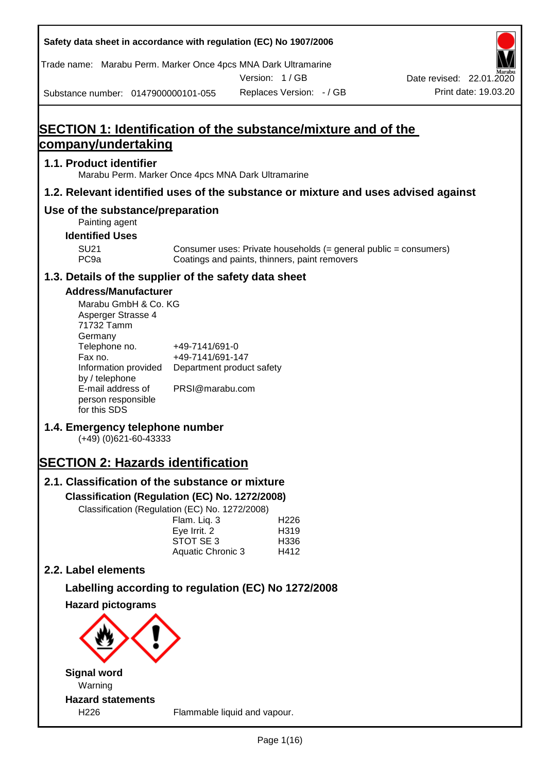| Safety data sheet in accordance with regulation (EC) No 1907/2006                                                                                                                                                                                                                                 |                                                                                    |                          |                                          |                                                                  |
|---------------------------------------------------------------------------------------------------------------------------------------------------------------------------------------------------------------------------------------------------------------------------------------------------|------------------------------------------------------------------------------------|--------------------------|------------------------------------------|------------------------------------------------------------------|
| Trade name: Marabu Perm. Marker Once 4pcs MNA Dark Ultramarine                                                                                                                                                                                                                                    |                                                                                    | Version: 1/GB            |                                          | Date revised: 22.01.2020                                         |
| Substance number: 0147900000101-055                                                                                                                                                                                                                                                               |                                                                                    | Replaces Version: - / GB |                                          | Print date: 19.03.20                                             |
|                                                                                                                                                                                                                                                                                                   |                                                                                    |                          |                                          |                                                                  |
| <b>SECTION 1: Identification of the substance/mixture and of the</b>                                                                                                                                                                                                                              |                                                                                    |                          |                                          |                                                                  |
| <u>company/undertaking</u>                                                                                                                                                                                                                                                                        |                                                                                    |                          |                                          |                                                                  |
| 1.1. Product identifier<br>Marabu Perm. Marker Once 4pcs MNA Dark Ultramarine                                                                                                                                                                                                                     |                                                                                    |                          |                                          |                                                                  |
| 1.2. Relevant identified uses of the substance or mixture and uses advised against                                                                                                                                                                                                                |                                                                                    |                          |                                          |                                                                  |
| Use of the substance/preparation<br>Painting agent                                                                                                                                                                                                                                                |                                                                                    |                          |                                          |                                                                  |
| <b>Identified Uses</b>                                                                                                                                                                                                                                                                            |                                                                                    |                          |                                          |                                                                  |
| <b>SU21</b><br>PC <sub>9a</sub>                                                                                                                                                                                                                                                                   | Coatings and paints, thinners, paint removers                                      |                          |                                          | Consumer uses: Private households (= general public = consumers) |
| 1.3. Details of the supplier of the safety data sheet                                                                                                                                                                                                                                             |                                                                                    |                          |                                          |                                                                  |
| <b>Address/Manufacturer</b><br>Marabu GmbH & Co. KG<br>Asperger Strasse 4<br>71732 Tamm<br>Germany<br>Telephone no.<br>Fax no.<br>Information provided<br>by / telephone<br>E-mail address of<br>person responsible<br>for this SDS<br>1.4. Emergency telephone number<br>$(+49)$ (0)621-60-43333 | +49-7141/691-0<br>+49-7141/691-147<br>Department product safety<br>PRSI@marabu.com |                          |                                          |                                                                  |
| <b>SECTION 2: Hazards identification</b>                                                                                                                                                                                                                                                          |                                                                                    |                          |                                          |                                                                  |
| 2.1. Classification of the substance or mixture                                                                                                                                                                                                                                                   |                                                                                    |                          |                                          |                                                                  |
| Classification (Regulation (EC) No. 1272/2008)                                                                                                                                                                                                                                                    |                                                                                    |                          |                                          |                                                                  |
| Classification (Regulation (EC) No. 1272/2008)                                                                                                                                                                                                                                                    | Flam. Liq. 3<br>Eye Irrit. 2<br>STOT SE 3<br>Aquatic Chronic 3                     |                          | H <sub>226</sub><br>H319<br>H336<br>H412 |                                                                  |
| 2.2. Label elements                                                                                                                                                                                                                                                                               |                                                                                    |                          |                                          |                                                                  |
| Labelling according to regulation (EC) No 1272/2008                                                                                                                                                                                                                                               |                                                                                    |                          |                                          |                                                                  |
| <b>Hazard pictograms</b>                                                                                                                                                                                                                                                                          |                                                                                    |                          |                                          |                                                                  |
|                                                                                                                                                                                                                                                                                                   |                                                                                    |                          |                                          |                                                                  |
| <b>Signal word</b>                                                                                                                                                                                                                                                                                |                                                                                    |                          |                                          |                                                                  |
| Warning                                                                                                                                                                                                                                                                                           |                                                                                    |                          |                                          |                                                                  |
| <b>Hazard statements</b><br>H226                                                                                                                                                                                                                                                                  | Flammable liquid and vapour.                                                       |                          |                                          |                                                                  |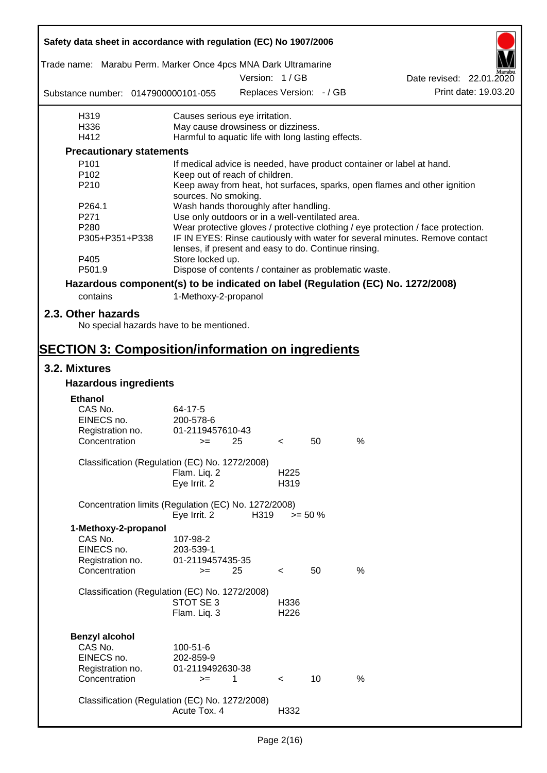|                                                                                 | Safety data sheet in accordance with regulation (EC) No 1907/2006 |               |                  |                          |                                                                                  |                          |                      |
|---------------------------------------------------------------------------------|-------------------------------------------------------------------|---------------|------------------|--------------------------|----------------------------------------------------------------------------------|--------------------------|----------------------|
| Trade name: Marabu Perm. Marker Once 4pcs MNA Dark Ultramarine                  |                                                                   |               |                  |                          |                                                                                  |                          |                      |
|                                                                                 |                                                                   | Version: 1/GB |                  |                          |                                                                                  | Date revised: 22.01.2020 |                      |
| Substance number: 0147900000101-055                                             |                                                                   |               |                  | Replaces Version: - / GB |                                                                                  |                          | Print date: 19.03.20 |
| H319                                                                            | Causes serious eye irritation.                                    |               |                  |                          |                                                                                  |                          |                      |
| H336                                                                            | May cause drowsiness or dizziness.                                |               |                  |                          |                                                                                  |                          |                      |
| H412                                                                            | Harmful to aquatic life with long lasting effects.                |               |                  |                          |                                                                                  |                          |                      |
| <b>Precautionary statements</b>                                                 |                                                                   |               |                  |                          |                                                                                  |                          |                      |
| P <sub>101</sub>                                                                |                                                                   |               |                  |                          | If medical advice is needed, have product container or label at hand.            |                          |                      |
| P <sub>102</sub>                                                                | Keep out of reach of children.                                    |               |                  |                          |                                                                                  |                          |                      |
| P210                                                                            | sources. No smoking.                                              |               |                  |                          | Keep away from heat, hot surfaces, sparks, open flames and other ignition        |                          |                      |
| P264.1                                                                          | Wash hands thoroughly after handling.                             |               |                  |                          |                                                                                  |                          |                      |
| P271                                                                            | Use only outdoors or in a well-ventilated area.                   |               |                  |                          |                                                                                  |                          |                      |
| P280                                                                            |                                                                   |               |                  |                          | Wear protective gloves / protective clothing / eye protection / face protection. |                          |                      |
| P305+P351+P338                                                                  | lenses, if present and easy to do. Continue rinsing.              |               |                  |                          | IF IN EYES: Rinse cautiously with water for several minutes. Remove contact      |                          |                      |
| P405                                                                            | Store locked up.                                                  |               |                  |                          |                                                                                  |                          |                      |
| P501.9                                                                          | Dispose of contents / container as problematic waste.             |               |                  |                          |                                                                                  |                          |                      |
| Hazardous component(s) to be indicated on label (Regulation (EC) No. 1272/2008) |                                                                   |               |                  |                          |                                                                                  |                          |                      |
| contains                                                                        | 1-Methoxy-2-propanol                                              |               |                  |                          |                                                                                  |                          |                      |
|                                                                                 |                                                                   |               |                  |                          |                                                                                  |                          |                      |
| 2.3. Other hazards<br>No special hazards have to be mentioned.                  |                                                                   |               |                  |                          |                                                                                  |                          |                      |
| <b>SECTION 3: Composition/information on ingredients</b>                        |                                                                   |               |                  |                          |                                                                                  |                          |                      |
| 3.2. Mixtures                                                                   |                                                                   |               |                  |                          |                                                                                  |                          |                      |
| <b>Hazardous ingredients</b>                                                    |                                                                   |               |                  |                          |                                                                                  |                          |                      |
| <b>Ethanol</b>                                                                  |                                                                   |               |                  |                          |                                                                                  |                          |                      |
| CAS No.                                                                         | 64-17-5                                                           |               |                  |                          |                                                                                  |                          |                      |
| EINECS no.                                                                      | 200-578-6                                                         |               |                  |                          |                                                                                  |                          |                      |
| Registration no.                                                                | 01-2119457610-43                                                  |               |                  |                          |                                                                                  |                          |                      |
| Concentration                                                                   | $>=$ 25                                                           |               | $\sim$           | 50                       | %                                                                                |                          |                      |
|                                                                                 |                                                                   |               |                  |                          |                                                                                  |                          |                      |
| Classification (Regulation (EC) No. 1272/2008)                                  |                                                                   |               |                  |                          |                                                                                  |                          |                      |
|                                                                                 | Flam. Liq. 2                                                      |               | H <sub>225</sub> |                          |                                                                                  |                          |                      |
|                                                                                 | Eve Irrit. 2                                                      |               | H319             |                          |                                                                                  |                          |                      |
| Concentration limits (Regulation (EC) No. 1272/2008)                            |                                                                   |               |                  |                          |                                                                                  |                          |                      |
|                                                                                 | Eye Irrit. 2                                                      | H319          |                  | $>= 50 \%$               |                                                                                  |                          |                      |
| 1-Methoxy-2-propanol                                                            |                                                                   |               |                  |                          |                                                                                  |                          |                      |
| CAS No.                                                                         | 107-98-2                                                          |               |                  |                          |                                                                                  |                          |                      |
| EINECS no.                                                                      | 203-539-1                                                         |               |                  |                          |                                                                                  |                          |                      |
| Registration no.                                                                | 01-2119457435-35                                                  |               |                  |                          |                                                                                  |                          |                      |
| Concentration                                                                   | $>=$                                                              | 25            | $\,<\,$          | 50                       | %                                                                                |                          |                      |
|                                                                                 |                                                                   |               |                  |                          |                                                                                  |                          |                      |
| Classification (Regulation (EC) No. 1272/2008)                                  |                                                                   |               |                  |                          |                                                                                  |                          |                      |
|                                                                                 | STOT SE 3                                                         |               | H336             |                          |                                                                                  |                          |                      |
|                                                                                 | Flam. Liq. 3                                                      |               | H <sub>226</sub> |                          |                                                                                  |                          |                      |
|                                                                                 |                                                                   |               |                  |                          |                                                                                  |                          |                      |
| <b>Benzyl alcohol</b>                                                           |                                                                   |               |                  |                          |                                                                                  |                          |                      |
| CAS No.                                                                         | 100-51-6                                                          |               |                  |                          |                                                                                  |                          |                      |
| EINECS no.                                                                      | 202-859-9                                                         |               |                  |                          |                                                                                  |                          |                      |
| Registration no.                                                                | 01-2119492630-38                                                  |               |                  |                          |                                                                                  |                          |                      |
| Concentration                                                                   | $>=$                                                              | $\mathbf{1}$  | $\prec$          | 10                       | $\%$                                                                             |                          |                      |
|                                                                                 |                                                                   |               |                  |                          |                                                                                  |                          |                      |
| Classification (Regulation (EC) No. 1272/2008)                                  |                                                                   |               |                  |                          |                                                                                  |                          |                      |
|                                                                                 | Acute Tox. 4                                                      |               | H332             |                          |                                                                                  |                          |                      |
|                                                                                 |                                                                   |               |                  |                          |                                                                                  |                          |                      |

 $\mathbf{r}$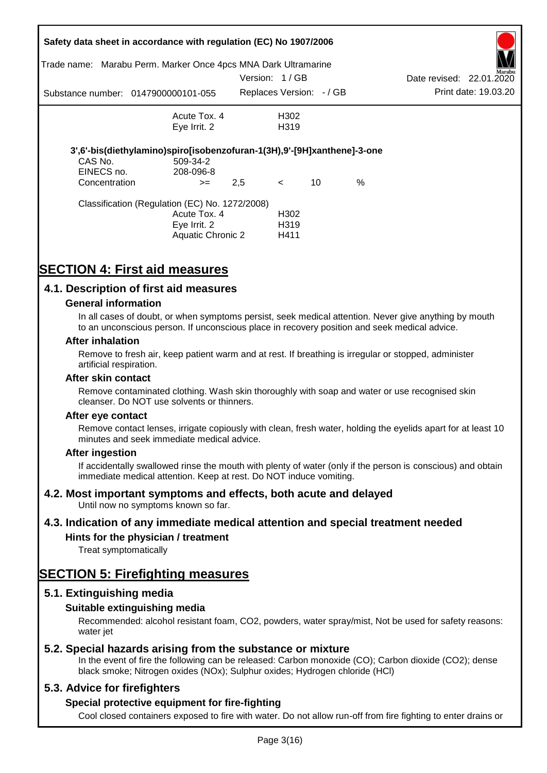|                       | Safety data sheet in accordance with regulation (EC) No 1907/2006<br>Trade name: Marabu Perm. Marker Once 4pcs MNA Dark Ultramarine |               |                                               |    |      |                          | Aarabu               |
|-----------------------|-------------------------------------------------------------------------------------------------------------------------------------|---------------|-----------------------------------------------|----|------|--------------------------|----------------------|
|                       |                                                                                                                                     | Version: 1/GB |                                               |    |      | Date revised: 22.01.2020 |                      |
|                       | Substance number: 0147900000101-055                                                                                                 |               | Replaces Version: -/ GB                       |    |      |                          | Print date: 19.03.20 |
|                       | Acute Tox, 4                                                                                                                        |               | H302                                          |    |      |                          |                      |
|                       | Eye Irrit. 2                                                                                                                        |               | H <sub>3</sub> 19                             |    |      |                          |                      |
| CAS No.<br>EINECS no. | 3',6'-bis(diethylamino)spiro[isobenzofuran-1(3H),9'-[9H]xanthene]-3-one<br>509-34-2<br>208-096-8                                    |               |                                               |    |      |                          |                      |
| Concentration         | $>=$                                                                                                                                | 2,5           | $\lt$                                         | 10 | $\%$ |                          |                      |
|                       | Classification (Regulation (EC) No. 1272/2008)<br>Acute Tox. 4<br>Eye Irrit. 2<br><b>Aquatic Chronic 2</b>                          |               | H <sub>302</sub><br>H <sub>3</sub> 19<br>H411 |    |      |                          |                      |

# **SECTION 4: First aid measures**

## **4.1. Description of first aid measures**

#### **General information**

In all cases of doubt, or when symptoms persist, seek medical attention. Never give anything by mouth to an unconscious person. If unconscious place in recovery position and seek medical advice.

#### **After inhalation**

Remove to fresh air, keep patient warm and at rest. If breathing is irregular or stopped, administer artificial respiration.

#### **After skin contact**

Remove contaminated clothing. Wash skin thoroughly with soap and water or use recognised skin cleanser. Do NOT use solvents or thinners.

#### **After eye contact**

Remove contact lenses, irrigate copiously with clean, fresh water, holding the eyelids apart for at least 10 minutes and seek immediate medical advice.

#### **After ingestion**

If accidentally swallowed rinse the mouth with plenty of water (only if the person is conscious) and obtain immediate medical attention. Keep at rest. Do NOT induce vomiting.

### **4.2. Most important symptoms and effects, both acute and delayed**

Until now no symptoms known so far.

### **4.3. Indication of any immediate medical attention and special treatment needed**

### **Hints for the physician / treatment**

Treat symptomatically

# **SECTION 5: Firefighting measures**

### **5.1. Extinguishing media**

### **Suitable extinguishing media**

Recommended: alcohol resistant foam, CO2, powders, water spray/mist, Not be used for safety reasons: water *iet* 

### **5.2. Special hazards arising from the substance or mixture**

In the event of fire the following can be released: Carbon monoxide (CO); Carbon dioxide (CO2); dense black smoke; Nitrogen oxides (NOx); Sulphur oxides; Hydrogen chloride (HCl)

### **5.3. Advice for firefighters**

### **Special protective equipment for fire-fighting**

Cool closed containers exposed to fire with water. Do not allow run-off from fire fighting to enter drains or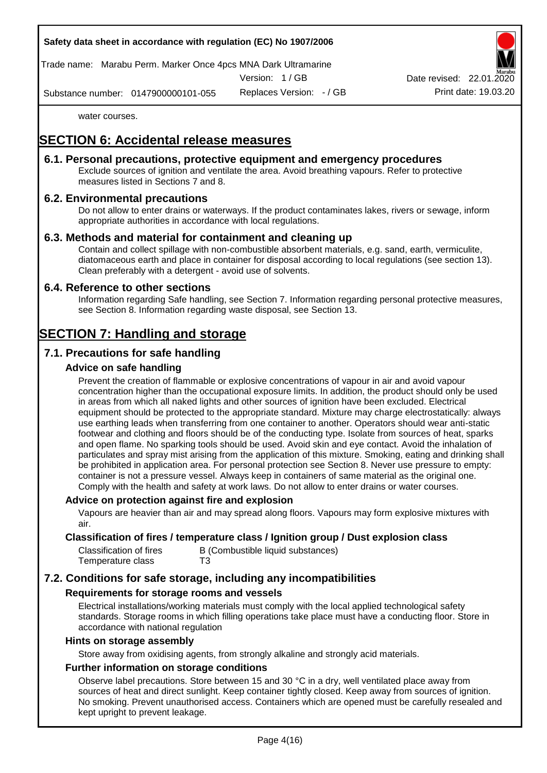Trade name: Marabu Perm. Marker Once 4pcs MNA Dark Ultramarine

Version: 1 / GB

Replaces Version: - / GB Print date: 19.03.20 Date revised: 22.01.

Substance number: 0147900000101-055

water courses.

# **SECTION 6: Accidental release measures**

### **6.1. Personal precautions, protective equipment and emergency procedures**

Exclude sources of ignition and ventilate the area. Avoid breathing vapours. Refer to protective measures listed in Sections 7 and 8.

## **6.2. Environmental precautions**

Do not allow to enter drains or waterways. If the product contaminates lakes, rivers or sewage, inform appropriate authorities in accordance with local regulations.

## **6.3. Methods and material for containment and cleaning up**

Contain and collect spillage with non-combustible absorbent materials, e.g. sand, earth, vermiculite, diatomaceous earth and place in container for disposal according to local regulations (see section 13). Clean preferably with a detergent - avoid use of solvents.

### **6.4. Reference to other sections**

Information regarding Safe handling, see Section 7. Information regarding personal protective measures, see Section 8. Information regarding waste disposal, see Section 13.

# **SECTION 7: Handling and storage**

# **7.1. Precautions for safe handling**

## **Advice on safe handling**

Prevent the creation of flammable or explosive concentrations of vapour in air and avoid vapour concentration higher than the occupational exposure limits. In addition, the product should only be used in areas from which all naked lights and other sources of ignition have been excluded. Electrical equipment should be protected to the appropriate standard. Mixture may charge electrostatically: always use earthing leads when transferring from one container to another. Operators should wear anti-static footwear and clothing and floors should be of the conducting type. Isolate from sources of heat, sparks and open flame. No sparking tools should be used. Avoid skin and eye contact. Avoid the inhalation of particulates and spray mist arising from the application of this mixture. Smoking, eating and drinking shall be prohibited in application area. For personal protection see Section 8. Never use pressure to empty: container is not a pressure vessel. Always keep in containers of same material as the original one. Comply with the health and safety at work laws. Do not allow to enter drains or water courses.

### **Advice on protection against fire and explosion**

Vapours are heavier than air and may spread along floors. Vapours may form explosive mixtures with air.

#### **Classification of fires / temperature class / Ignition group / Dust explosion class**

| Classification of fires | B (Combustible liquid substances) |
|-------------------------|-----------------------------------|
| Temperature class       | T3                                |

# **7.2. Conditions for safe storage, including any incompatibilities**

### **Requirements for storage rooms and vessels**

Electrical installations/working materials must comply with the local applied technological safety standards. Storage rooms in which filling operations take place must have a conducting floor. Store in accordance with national regulation

#### **Hints on storage assembly**

Store away from oxidising agents, from strongly alkaline and strongly acid materials.

### **Further information on storage conditions**

Observe label precautions. Store between 15 and 30 °C in a dry, well ventilated place away from sources of heat and direct sunlight. Keep container tightly closed. Keep away from sources of ignition. No smoking. Prevent unauthorised access. Containers which are opened must be carefully resealed and kept upright to prevent leakage.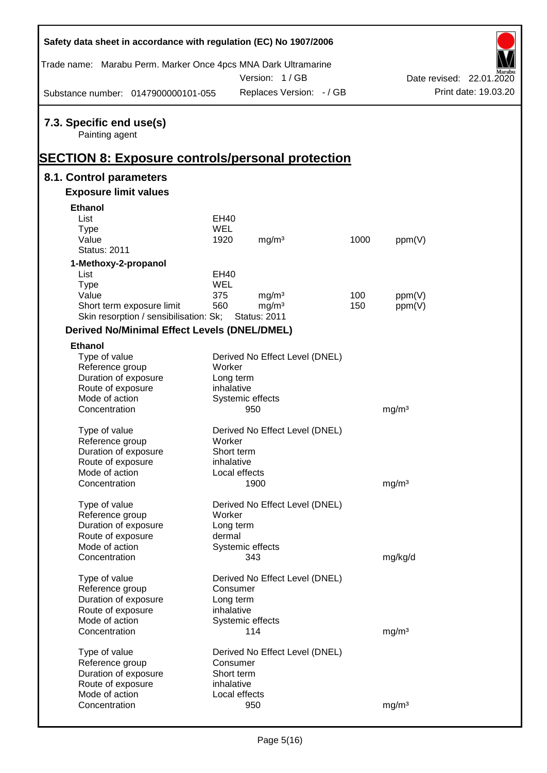| Safety data sheet in accordance with regulation (EC) No 1907/2006                                     |            |                                |      |                   |                          |
|-------------------------------------------------------------------------------------------------------|------------|--------------------------------|------|-------------------|--------------------------|
| Trade name: Marabu Perm. Marker Once 4pcs MNA Dark Ultramarine                                        |            | Version: 1/GB                  |      |                   | Date revised: 22.01.2020 |
| Substance number: 0147900000101-055                                                                   |            | Replaces Version: - / GB       |      |                   | Print date: 19.03.20     |
| 7.3. Specific end use(s)<br>Painting agent<br><b>SECTION 8: Exposure controls/personal protection</b> |            |                                |      |                   |                          |
| 8.1. Control parameters                                                                               |            |                                |      |                   |                          |
| <b>Exposure limit values</b>                                                                          |            |                                |      |                   |                          |
| <b>Ethanol</b>                                                                                        |            |                                |      |                   |                          |
| List                                                                                                  | EH40       |                                |      |                   |                          |
| <b>Type</b>                                                                                           | <b>WEL</b> |                                |      |                   |                          |
| Value                                                                                                 | 1920       | mg/m <sup>3</sup>              | 1000 | ppm(V)            |                          |
| <b>Status: 2011</b>                                                                                   |            |                                |      |                   |                          |
| 1-Methoxy-2-propanol                                                                                  |            |                                |      |                   |                          |
| List                                                                                                  | EH40       |                                |      |                   |                          |
| <b>Type</b>                                                                                           | WEL        |                                |      |                   |                          |
| Value                                                                                                 | 375        | mg/m <sup>3</sup>              | 100  | ppm(V)            |                          |
| Short term exposure limit                                                                             | 560        | mg/m <sup>3</sup>              | 150  | ppm(V)            |                          |
| Skin resorption / sensibilisation: Sk;                                                                |            | <b>Status: 2011</b>            |      |                   |                          |
| <b>Derived No/Minimal Effect Levels (DNEL/DMEL)</b>                                                   |            |                                |      |                   |                          |
| <b>Ethanol</b>                                                                                        |            |                                |      |                   |                          |
| Type of value                                                                                         |            | Derived No Effect Level (DNEL) |      |                   |                          |
| Reference group                                                                                       | Worker     |                                |      |                   |                          |
| Duration of exposure                                                                                  | Long term  |                                |      |                   |                          |
| Route of exposure                                                                                     | inhalative |                                |      |                   |                          |
| Mode of action                                                                                        |            | Systemic effects               |      |                   |                          |
| Concentration                                                                                         |            | 950                            |      | mg/m <sup>3</sup> |                          |
| Type of value                                                                                         |            | Derived No Effect Level (DNEL) |      |                   |                          |
| Reference group                                                                                       | Worker     |                                |      |                   |                          |
| Duration of exposure                                                                                  | Short term |                                |      |                   |                          |
| Route of exposure                                                                                     | inhalative |                                |      |                   |                          |
| Mode of action                                                                                        |            | Local effects                  |      |                   |                          |
| Concentration                                                                                         |            | 1900                           |      | mg/m <sup>3</sup> |                          |
|                                                                                                       |            |                                |      |                   |                          |
| Type of value                                                                                         |            | Derived No Effect Level (DNEL) |      |                   |                          |
| Reference group                                                                                       | Worker     |                                |      |                   |                          |
| Duration of exposure                                                                                  | Long term  |                                |      |                   |                          |
| Route of exposure                                                                                     | dermal     |                                |      |                   |                          |
| Mode of action                                                                                        |            | Systemic effects               |      |                   |                          |
| Concentration                                                                                         |            | 343                            |      | mg/kg/d           |                          |
| Type of value                                                                                         |            | Derived No Effect Level (DNEL) |      |                   |                          |
| Reference group                                                                                       | Consumer   |                                |      |                   |                          |
| Duration of exposure                                                                                  | Long term  |                                |      |                   |                          |
| Route of exposure                                                                                     | inhalative |                                |      |                   |                          |
| Mode of action                                                                                        |            | Systemic effects               |      |                   |                          |
| Concentration                                                                                         |            | 114                            |      | mg/m <sup>3</sup> |                          |
|                                                                                                       |            |                                |      |                   |                          |
| Type of value<br>Reference group                                                                      | Consumer   | Derived No Effect Level (DNEL) |      |                   |                          |
| Duration of exposure                                                                                  | Short term |                                |      |                   |                          |
| Route of exposure                                                                                     | inhalative |                                |      |                   |                          |
| Mode of action                                                                                        |            | Local effects                  |      |                   |                          |
| Concentration                                                                                         |            | 950                            |      | mg/m <sup>3</sup> |                          |
|                                                                                                       |            |                                |      |                   |                          |

Ī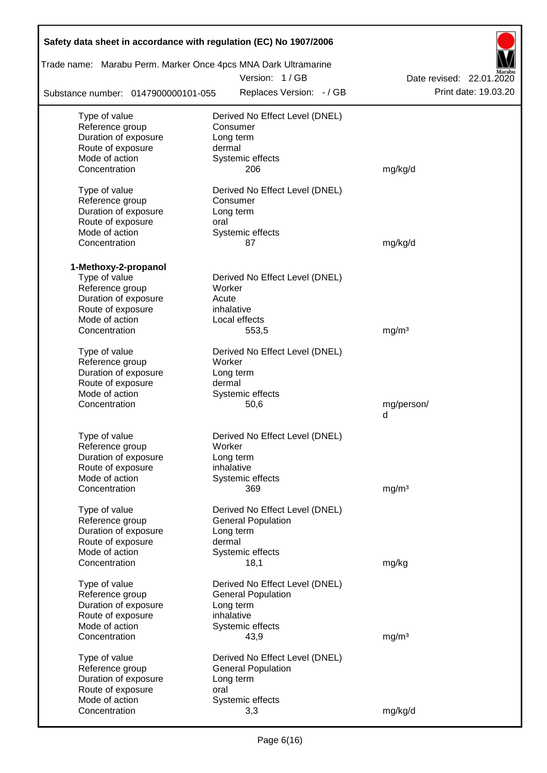| Safety data sheet in accordance with regulation (EC) No 1907/2006 |                          |                                |                      |
|-------------------------------------------------------------------|--------------------------|--------------------------------|----------------------|
| Trade name: Marabu Perm. Marker Once 4pcs MNA Dark Ultramarine    | Date revised: 22.01.2020 |                                |                      |
| Substance number: 0147900000101-055                               |                          | Replaces Version: - / GB       | Print date: 19.03.20 |
| Type of value                                                     |                          | Derived No Effect Level (DNEL) |                      |
| Reference group                                                   |                          | Consumer                       |                      |
| Duration of exposure                                              |                          | Long term                      |                      |
| Route of exposure                                                 | dermal                   |                                |                      |
| Mode of action                                                    |                          | Systemic effects               |                      |
| Concentration                                                     |                          | 206                            | mg/kg/d              |
| Type of value                                                     |                          | Derived No Effect Level (DNEL) |                      |
| Reference group                                                   |                          | Consumer                       |                      |
| Duration of exposure                                              |                          | Long term                      |                      |
| Route of exposure                                                 | oral                     |                                |                      |
| Mode of action                                                    |                          | Systemic effects               |                      |
| Concentration                                                     |                          | 87                             | mg/kg/d              |
| 1-Methoxy-2-propanol                                              |                          |                                |                      |
| Type of value                                                     |                          | Derived No Effect Level (DNEL) |                      |
| Reference group                                                   | Worker                   |                                |                      |
| Duration of exposure                                              | Acute                    |                                |                      |
| Route of exposure                                                 |                          | inhalative                     |                      |
| Mode of action                                                    |                          | Local effects                  |                      |
| Concentration                                                     |                          | 553,5                          | mg/m <sup>3</sup>    |
| Type of value                                                     |                          | Derived No Effect Level (DNEL) |                      |
| Reference group                                                   | Worker                   |                                |                      |
| Duration of exposure                                              |                          | Long term                      |                      |
| Route of exposure                                                 | dermal                   |                                |                      |
| Mode of action                                                    |                          | Systemic effects               |                      |
| Concentration                                                     |                          | 50,6                           | mg/person/           |
|                                                                   |                          |                                | d                    |
| Type of value                                                     |                          | Derived No Effect Level (DNEL) |                      |
| Reference group                                                   | Worker                   |                                |                      |
| Duration of exposure                                              |                          | Long term                      |                      |
| Route of exposure                                                 |                          | inhalative                     |                      |
| Mode of action                                                    |                          | Systemic effects               |                      |
| Concentration                                                     |                          | 369                            | mg/m <sup>3</sup>    |
|                                                                   |                          |                                |                      |
| Type of value                                                     |                          | Derived No Effect Level (DNEL) |                      |
| Reference group                                                   |                          | <b>General Population</b>      |                      |
| Duration of exposure                                              |                          | Long term                      |                      |
| Route of exposure                                                 | dermal                   |                                |                      |
| Mode of action                                                    |                          | Systemic effects               |                      |
| Concentration                                                     |                          | 18,1                           | mg/kg                |
| Type of value                                                     |                          | Derived No Effect Level (DNEL) |                      |
| Reference group                                                   |                          | <b>General Population</b>      |                      |
| Duration of exposure                                              |                          | Long term                      |                      |
| Route of exposure                                                 |                          | inhalative                     |                      |
| Mode of action                                                    |                          | Systemic effects               |                      |
| Concentration                                                     |                          | 43,9                           | mg/m <sup>3</sup>    |
| Type of value                                                     |                          | Derived No Effect Level (DNEL) |                      |
| Reference group                                                   |                          | <b>General Population</b>      |                      |
| Duration of exposure                                              |                          | Long term                      |                      |
| Route of exposure                                                 | oral                     |                                |                      |
| Mode of action                                                    |                          | Systemic effects               |                      |
| Concentration                                                     |                          | 3,3                            | mg/kg/d              |
|                                                                   |                          |                                |                      |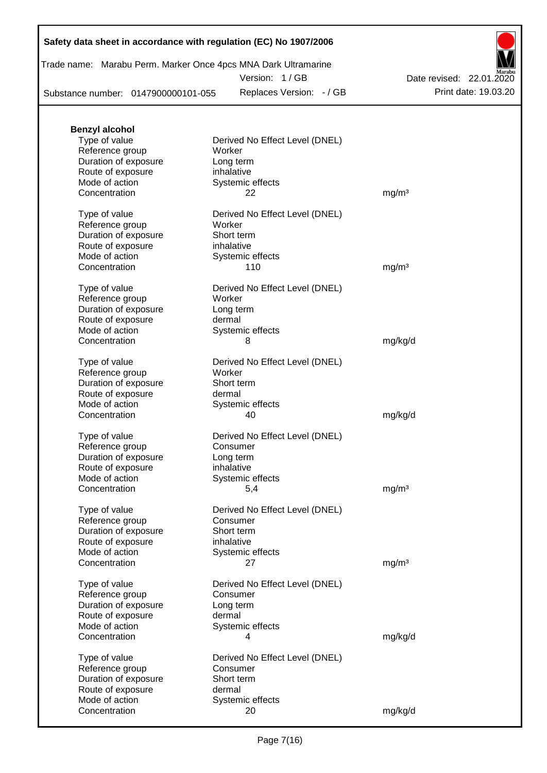| Trade name: Marabu Perm. Marker Once 4pcs MNA Dark Ultramarine |  |               |  |
|----------------------------------------------------------------|--|---------------|--|
|                                                                |  | Version: 1/GB |  |

Date revised: 22.01.2020

Substance number: 0147900000101-055

**Benzyl alcohol**

Route of exposure<br>Mode of action

Route of exposure dermal

Mode of action Systemic effects

Replaces Version: - / GB Print date: 19.03.20



Type of value **Derived No Effect Level (DNEL)** Reference group Worker Duration of exposure Long term Route of exposure inhalative Mode of action Systemic effects Concentration 22 mg/m<sup>3</sup> Type of value **Derived No Effect Level (DNEL)** Reference group Worker Duration of exposure Short term<br>
Route of exposure inhalative Systemic effects

| Concentration                                                                                                    | 110                                                                                              | mg/m <sup>3</sup> |
|------------------------------------------------------------------------------------------------------------------|--------------------------------------------------------------------------------------------------|-------------------|
| Type of value<br>Reference group<br>Duration of exposure<br>Route of exposure<br>Mode of action<br>Concentration | Derived No Effect Level (DNEL)<br>Worker<br>Long term<br>dermal<br>Systemic effects<br>8         | mg/kg/d           |
| Type of value<br>Reference group<br>Duration of exposure<br>Route of exposure<br>Mode of action<br>Concentration | Derived No Effect Level (DNEL)<br>Worker<br>Short term<br>dermal<br>Systemic effects<br>40       | mg/kg/d           |
| Type of value<br>Reference group<br>Duration of exposure<br>Route of exposure<br>Mode of action<br>Concentration | Derived No Effect Level (DNEL)<br>Consumer<br>Long term<br>inhalative<br>Systemic effects<br>5,4 | mg/m <sup>3</sup> |
| Type of value<br>Reference group<br>Duration of exposure<br>Route of exposure<br>Mode of action<br>Concentration | Derived No Effect Level (DNEL)<br>Consumer<br>Short term<br>inhalative<br>Systemic effects<br>27 | mg/m <sup>3</sup> |
| Type of value<br>Reference group<br>Duration of exposure<br>Route of exposure<br>Mode of action<br>Concentration | Derived No Effect Level (DNEL)<br>Consumer<br>Long term<br>dermal<br>Systemic effects<br>4       | mg/kg/d           |
| Type of value<br>Reference group<br>Duration of exposure                                                         | Derived No Effect Level (DNEL)<br>Consumer<br>Short term                                         |                   |

Concentration 20 mg/kg/d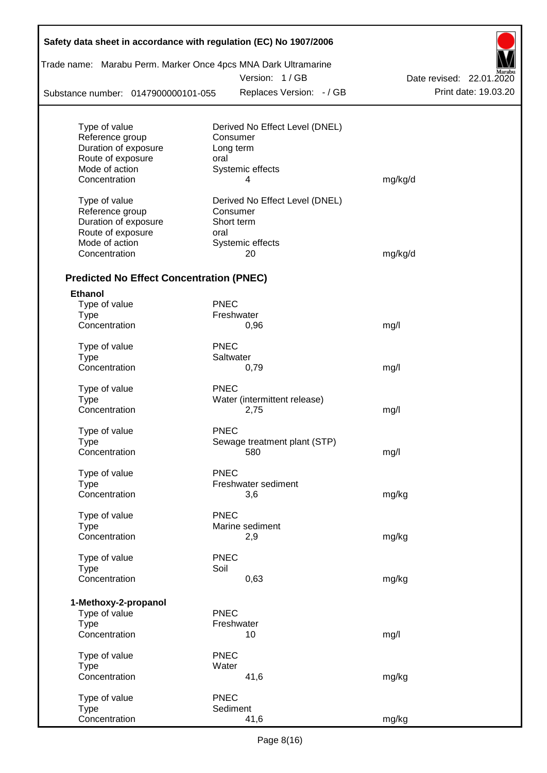| Safety data sheet in accordance with regulation (EC) No 1907/2006 |                                |                          |
|-------------------------------------------------------------------|--------------------------------|--------------------------|
| Trade name: Marabu Perm. Marker Once 4pcs MNA Dark Ultramarine    |                                |                          |
|                                                                   | Version: 1 / GB                | Date revised: 22.01.2020 |
| Substance number: 0147900000101-055                               | Replaces Version: - / GB       | Print date: 19.03.20     |
| Type of value                                                     | Derived No Effect Level (DNEL) |                          |
| Reference group                                                   | Consumer                       |                          |
| Duration of exposure                                              | Long term                      |                          |
| Route of exposure                                                 | oral                           |                          |
| Mode of action                                                    | Systemic effects               |                          |
| Concentration                                                     | 4                              | mg/kg/d                  |
| Type of value                                                     | Derived No Effect Level (DNEL) |                          |
| Reference group                                                   | Consumer                       |                          |
| Duration of exposure                                              | Short term                     |                          |
| Route of exposure<br>Mode of action                               | oral<br>Systemic effects       |                          |
| Concentration                                                     | 20                             | mg/kg/d                  |
|                                                                   |                                |                          |
| <b>Predicted No Effect Concentration (PNEC)</b>                   |                                |                          |
| <b>Ethanol</b>                                                    |                                |                          |
| Type of value                                                     | <b>PNEC</b>                    |                          |
| <b>Type</b><br>Concentration                                      | Freshwater<br>0,96             | mg/l                     |
|                                                                   |                                |                          |
| Type of value                                                     | <b>PNEC</b><br>Saltwater       |                          |
| <b>Type</b><br>Concentration                                      | 0,79                           | mg/l                     |
|                                                                   | <b>PNEC</b>                    |                          |
| Type of value<br>Type                                             | Water (intermittent release)   |                          |
| Concentration                                                     | 2,75                           | mg/l                     |
|                                                                   |                                |                          |
| Type of value                                                     | <b>PNEC</b>                    |                          |
| Type                                                              | Sewage treatment plant (STP)   |                          |
| Concentration                                                     | 580                            | mg/l                     |
| Type of value                                                     | <b>PNEC</b>                    |                          |
| <b>Type</b>                                                       | Freshwater sediment            |                          |
| Concentration                                                     | 3,6                            | mg/kg                    |
| Type of value                                                     | <b>PNEC</b>                    |                          |
| <b>Type</b>                                                       | Marine sediment                |                          |
| Concentration                                                     | 2,9                            | mg/kg                    |
| Type of value                                                     | <b>PNEC</b>                    |                          |
| <b>Type</b>                                                       | Soil                           |                          |
| Concentration                                                     | 0,63                           | mg/kg                    |
| 1-Methoxy-2-propanol                                              |                                |                          |
| Type of value                                                     | <b>PNEC</b>                    |                          |
| <b>Type</b>                                                       | Freshwater                     |                          |
| Concentration                                                     | 10                             | mg/l                     |
| Type of value                                                     | <b>PNEC</b>                    |                          |
| <b>Type</b>                                                       | Water                          |                          |
| Concentration                                                     | 41,6                           | mg/kg                    |
| Type of value                                                     | <b>PNEC</b>                    |                          |
| <b>Type</b>                                                       | Sediment                       |                          |
| Concentration                                                     | 41,6                           | mg/kg                    |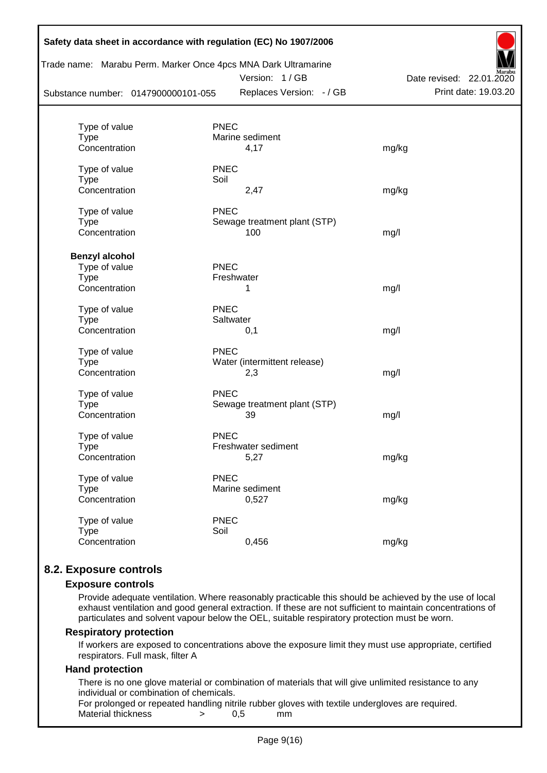|                                     | Safety data sheet in accordance with regulation (EC) No 1907/2006                                             |                                                  |
|-------------------------------------|---------------------------------------------------------------------------------------------------------------|--------------------------------------------------|
| Substance number: 0147900000101-055 | Trade name: Marabu Perm. Marker Once 4pcs MNA Dark Ultramarine<br>Version: 1 / GB<br>Replaces Version: - / GB | Date revised: 22.01.2020<br>Print date: 19.03.20 |
|                                     |                                                                                                               |                                                  |
| Type of value<br>Type               | <b>PNEC</b><br>Marine sediment                                                                                |                                                  |
| Concentration                       | 4,17                                                                                                          | mg/kg                                            |
| Type of value<br><b>Type</b>        | <b>PNEC</b><br>Soil                                                                                           |                                                  |
| Concentration                       | 2,47                                                                                                          | mg/kg                                            |
| Type of value                       | <b>PNEC</b>                                                                                                   |                                                  |
| <b>Type</b>                         | Sewage treatment plant (STP)                                                                                  |                                                  |
| Concentration                       | 100                                                                                                           | mg/l                                             |
| <b>Benzyl alcohol</b>               |                                                                                                               |                                                  |
| Type of value                       | <b>PNEC</b>                                                                                                   |                                                  |
| <b>Type</b>                         | Freshwater                                                                                                    |                                                  |
| Concentration                       | 1                                                                                                             | mg/l                                             |
| Type of value                       | <b>PNEC</b>                                                                                                   |                                                  |
| <b>Type</b>                         | Saltwater                                                                                                     |                                                  |
| Concentration                       | 0,1                                                                                                           | mg/l                                             |
| Type of value                       | <b>PNEC</b>                                                                                                   |                                                  |
| Type                                | Water (intermittent release)                                                                                  |                                                  |
| Concentration                       | 2,3                                                                                                           | mg/l                                             |
| Type of value                       | <b>PNEC</b>                                                                                                   |                                                  |
| <b>Type</b>                         | Sewage treatment plant (STP)                                                                                  |                                                  |
| Concentration                       | 39                                                                                                            | mg/l                                             |
| Type of value                       | <b>PNEC</b>                                                                                                   |                                                  |
| Type                                | Freshwater sediment                                                                                           |                                                  |
| Concentration                       | 5,27                                                                                                          | mg/kg                                            |
| Type of value                       | <b>PNEC</b>                                                                                                   |                                                  |
| Type                                | Marine sediment                                                                                               |                                                  |
| Concentration                       | 0,527                                                                                                         | mg/kg                                            |
| Type of value                       | <b>PNEC</b>                                                                                                   |                                                  |
| <b>Type</b>                         | Soil                                                                                                          |                                                  |
| Concentration                       | 0,456                                                                                                         | mg/kg                                            |
|                                     |                                                                                                               |                                                  |

# **8.2. Exposure controls**

#### **Exposure controls**

Provide adequate ventilation. Where reasonably practicable this should be achieved by the use of local exhaust ventilation and good general extraction. If these are not sufficient to maintain concentrations of particulates and solvent vapour below the OEL, suitable respiratory protection must be worn.

#### **Respiratory protection**

If workers are exposed to concentrations above the exposure limit they must use appropriate, certified respirators. Full mask, filter A

#### **Hand protection**

There is no one glove material or combination of materials that will give unlimited resistance to any individual or combination of chemicals.

For prolonged or repeated handling nitrile rubber gloves with textile undergloves are required. Material thickness  $\rightarrow$  0.5 mm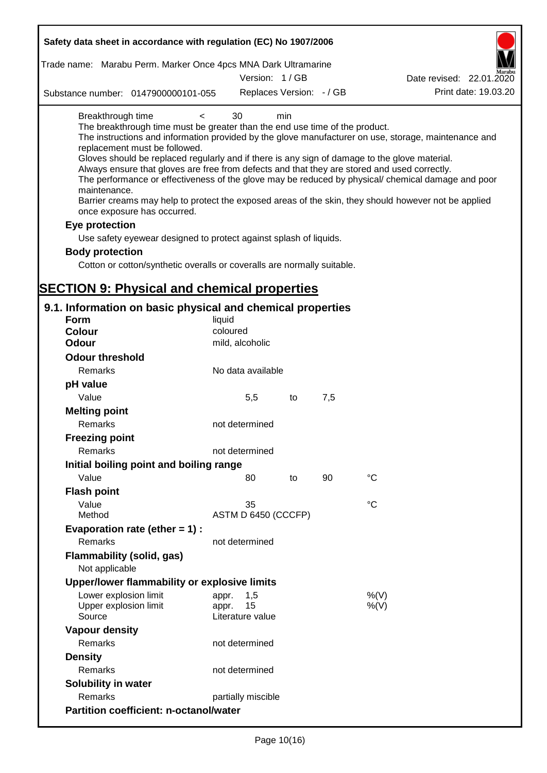| Safety data sheet in accordance with regulation (EC) No 1907/2006                                                                                                                                                                                                                                                                                                                                             |                             |     |     |                                                                                                                                                                                                                                                                                                                    |
|---------------------------------------------------------------------------------------------------------------------------------------------------------------------------------------------------------------------------------------------------------------------------------------------------------------------------------------------------------------------------------------------------------------|-----------------------------|-----|-----|--------------------------------------------------------------------------------------------------------------------------------------------------------------------------------------------------------------------------------------------------------------------------------------------------------------------|
| Trade name: Marabu Perm. Marker Once 4pcs MNA Dark Ultramarine                                                                                                                                                                                                                                                                                                                                                |                             |     |     |                                                                                                                                                                                                                                                                                                                    |
|                                                                                                                                                                                                                                                                                                                                                                                                               | Version: 1/GB               |     |     | Date revised: 22.01.2020                                                                                                                                                                                                                                                                                           |
| Substance number: 0147900000101-055                                                                                                                                                                                                                                                                                                                                                                           | Replaces Version: - / GB    |     |     | Print date: 19.03.20                                                                                                                                                                                                                                                                                               |
| Breakthrough time<br>$\overline{\phantom{0}}$<br>The breakthrough time must be greater than the end use time of the product.<br>replacement must be followed.<br>Gloves should be replaced regularly and if there is any sign of damage to the glove material.<br>Always ensure that gloves are free from defects and that they are stored and used correctly.<br>maintenance.<br>once exposure has occurred. | 30                          | min |     | The instructions and information provided by the glove manufacturer on use, storage, maintenance and<br>The performance or effectiveness of the glove may be reduced by physical/ chemical damage and poor<br>Barrier creams may help to protect the exposed areas of the skin, they should however not be applied |
| Eye protection                                                                                                                                                                                                                                                                                                                                                                                                |                             |     |     |                                                                                                                                                                                                                                                                                                                    |
| Use safety eyewear designed to protect against splash of liquids.                                                                                                                                                                                                                                                                                                                                             |                             |     |     |                                                                                                                                                                                                                                                                                                                    |
| <b>Body protection</b>                                                                                                                                                                                                                                                                                                                                                                                        |                             |     |     |                                                                                                                                                                                                                                                                                                                    |
| Cotton or cotton/synthetic overalls or coveralls are normally suitable.                                                                                                                                                                                                                                                                                                                                       |                             |     |     |                                                                                                                                                                                                                                                                                                                    |
|                                                                                                                                                                                                                                                                                                                                                                                                               |                             |     |     |                                                                                                                                                                                                                                                                                                                    |
| <b>SECTION 9: Physical and chemical properties</b>                                                                                                                                                                                                                                                                                                                                                            |                             |     |     |                                                                                                                                                                                                                                                                                                                    |
| 9.1. Information on basic physical and chemical properties                                                                                                                                                                                                                                                                                                                                                    |                             |     |     |                                                                                                                                                                                                                                                                                                                    |
| <b>Form</b>                                                                                                                                                                                                                                                                                                                                                                                                   | liquid                      |     |     |                                                                                                                                                                                                                                                                                                                    |
| <b>Colour</b>                                                                                                                                                                                                                                                                                                                                                                                                 | coloured                    |     |     |                                                                                                                                                                                                                                                                                                                    |
| <b>Odour</b>                                                                                                                                                                                                                                                                                                                                                                                                  | mild, alcoholic             |     |     |                                                                                                                                                                                                                                                                                                                    |
| <b>Odour threshold</b>                                                                                                                                                                                                                                                                                                                                                                                        |                             |     |     |                                                                                                                                                                                                                                                                                                                    |
| Remarks                                                                                                                                                                                                                                                                                                                                                                                                       | No data available           |     |     |                                                                                                                                                                                                                                                                                                                    |
| pH value                                                                                                                                                                                                                                                                                                                                                                                                      |                             |     |     |                                                                                                                                                                                                                                                                                                                    |
| Value                                                                                                                                                                                                                                                                                                                                                                                                         | 5,5                         | to  | 7,5 |                                                                                                                                                                                                                                                                                                                    |
| <b>Melting point</b><br>Remarks                                                                                                                                                                                                                                                                                                                                                                               | not determined              |     |     |                                                                                                                                                                                                                                                                                                                    |
| <b>Freezing point</b>                                                                                                                                                                                                                                                                                                                                                                                         |                             |     |     |                                                                                                                                                                                                                                                                                                                    |
| Remarks                                                                                                                                                                                                                                                                                                                                                                                                       | not determined              |     |     |                                                                                                                                                                                                                                                                                                                    |
| Initial boiling point and boiling range                                                                                                                                                                                                                                                                                                                                                                       |                             |     |     |                                                                                                                                                                                                                                                                                                                    |
| Value                                                                                                                                                                                                                                                                                                                                                                                                         | 80                          | to  | 90  | $\rm ^{\circ}C$                                                                                                                                                                                                                                                                                                    |
| <b>Flash point</b>                                                                                                                                                                                                                                                                                                                                                                                            |                             |     |     |                                                                                                                                                                                                                                                                                                                    |
| Value                                                                                                                                                                                                                                                                                                                                                                                                         | 35                          |     |     | $^{\circ}C$                                                                                                                                                                                                                                                                                                        |
| Method                                                                                                                                                                                                                                                                                                                                                                                                        | ASTM D 6450 (CCCFP)         |     |     |                                                                                                                                                                                                                                                                                                                    |
| Evaporation rate (ether $= 1$ ) :                                                                                                                                                                                                                                                                                                                                                                             |                             |     |     |                                                                                                                                                                                                                                                                                                                    |
| Remarks                                                                                                                                                                                                                                                                                                                                                                                                       | not determined              |     |     |                                                                                                                                                                                                                                                                                                                    |
| <b>Flammability (solid, gas)</b><br>Not applicable                                                                                                                                                                                                                                                                                                                                                            |                             |     |     |                                                                                                                                                                                                                                                                                                                    |
| Upper/lower flammability or explosive limits                                                                                                                                                                                                                                                                                                                                                                  |                             |     |     |                                                                                                                                                                                                                                                                                                                    |
| Lower explosion limit<br>Upper explosion limit                                                                                                                                                                                                                                                                                                                                                                | 1,5<br>appr.<br>15<br>appr. |     |     | %(V)<br>$%$ (V)                                                                                                                                                                                                                                                                                                    |
| Source                                                                                                                                                                                                                                                                                                                                                                                                        | Literature value            |     |     |                                                                                                                                                                                                                                                                                                                    |
| <b>Vapour density</b>                                                                                                                                                                                                                                                                                                                                                                                         |                             |     |     |                                                                                                                                                                                                                                                                                                                    |
| Remarks                                                                                                                                                                                                                                                                                                                                                                                                       | not determined              |     |     |                                                                                                                                                                                                                                                                                                                    |
| <b>Density</b>                                                                                                                                                                                                                                                                                                                                                                                                |                             |     |     |                                                                                                                                                                                                                                                                                                                    |
| Remarks                                                                                                                                                                                                                                                                                                                                                                                                       | not determined              |     |     |                                                                                                                                                                                                                                                                                                                    |
| Solubility in water                                                                                                                                                                                                                                                                                                                                                                                           |                             |     |     |                                                                                                                                                                                                                                                                                                                    |
| Remarks                                                                                                                                                                                                                                                                                                                                                                                                       | partially miscible          |     |     |                                                                                                                                                                                                                                                                                                                    |
| <b>Partition coefficient: n-octanol/water</b>                                                                                                                                                                                                                                                                                                                                                                 |                             |     |     |                                                                                                                                                                                                                                                                                                                    |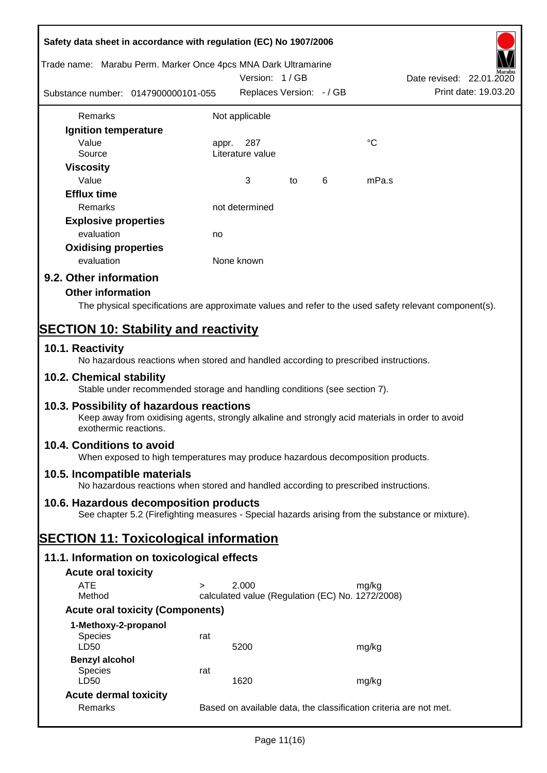| Safety data sheet in accordance with regulation (EC) No 1907/2006<br>Trade name: Marabu Perm. Marker Once 4pcs MNA Dark Ultramarine                                   |        | Version: 1/GB                                    |    |   | Date revised: 22.01.2020                                                                               |
|-----------------------------------------------------------------------------------------------------------------------------------------------------------------------|--------|--------------------------------------------------|----|---|--------------------------------------------------------------------------------------------------------|
| Substance number: 0147900000101-055                                                                                                                                   |        | Replaces Version: - / GB                         |    |   | Print date: 19.03.20                                                                                   |
| Remarks                                                                                                                                                               |        | Not applicable                                   |    |   |                                                                                                        |
| Ignition temperature                                                                                                                                                  |        |                                                  |    |   |                                                                                                        |
| Value                                                                                                                                                                 | appr.  | 287                                              |    |   | $^{\circ}C$                                                                                            |
| Source                                                                                                                                                                |        | Literature value                                 |    |   |                                                                                                        |
| <b>Viscosity</b><br>Value                                                                                                                                             |        | 3                                                | to | 6 | mPa.s                                                                                                  |
| <b>Efflux time</b>                                                                                                                                                    |        |                                                  |    |   |                                                                                                        |
| Remarks                                                                                                                                                               |        | not determined                                   |    |   |                                                                                                        |
| <b>Explosive properties</b>                                                                                                                                           |        |                                                  |    |   |                                                                                                        |
| evaluation                                                                                                                                                            | no     |                                                  |    |   |                                                                                                        |
| <b>Oxidising properties</b>                                                                                                                                           |        |                                                  |    |   |                                                                                                        |
| evaluation                                                                                                                                                            |        | None known                                       |    |   |                                                                                                        |
| 9.2. Other information                                                                                                                                                |        |                                                  |    |   |                                                                                                        |
| <b>Other information</b>                                                                                                                                              |        |                                                  |    |   |                                                                                                        |
|                                                                                                                                                                       |        |                                                  |    |   | The physical specifications are approximate values and refer to the used safety relevant component(s). |
|                                                                                                                                                                       |        |                                                  |    |   |                                                                                                        |
| <b>SECTION 10: Stability and reactivity</b>                                                                                                                           |        |                                                  |    |   |                                                                                                        |
| 10.1. Reactivity<br>No hazardous reactions when stored and handled according to prescribed instructions.                                                              |        |                                                  |    |   |                                                                                                        |
| 10.2. Chemical stability<br>Stable under recommended storage and handling conditions (see section 7).                                                                 |        |                                                  |    |   |                                                                                                        |
| 10.3. Possibility of hazardous reactions<br>Keep away from oxidising agents, strongly alkaline and strongly acid materials in order to avoid<br>exothermic reactions. |        |                                                  |    |   |                                                                                                        |
| 10.4. Conditions to avoid<br>When exposed to high temperatures may produce hazardous decomposition products.                                                          |        |                                                  |    |   |                                                                                                        |
| 10.5. Incompatible materials<br>No hazardous reactions when stored and handled according to prescribed instructions.                                                  |        |                                                  |    |   |                                                                                                        |
| 10.6. Hazardous decomposition products                                                                                                                                |        |                                                  |    |   |                                                                                                        |
| See chapter 5.2 (Firefighting measures - Special hazards arising from the substance or mixture).                                                                      |        |                                                  |    |   |                                                                                                        |
| <b>SECTION 11: Toxicological information</b>                                                                                                                          |        |                                                  |    |   |                                                                                                        |
| 11.1. Information on toxicological effects                                                                                                                            |        |                                                  |    |   |                                                                                                        |
| <b>Acute oral toxicity</b>                                                                                                                                            |        |                                                  |    |   |                                                                                                        |
| <b>ATE</b>                                                                                                                                                            | $\geq$ | 2.000                                            |    |   | mg/kg                                                                                                  |
| Method                                                                                                                                                                |        | calculated value (Regulation (EC) No. 1272/2008) |    |   |                                                                                                        |
| <b>Acute oral toxicity (Components)</b>                                                                                                                               |        |                                                  |    |   |                                                                                                        |
| 1-Methoxy-2-propanol                                                                                                                                                  |        |                                                  |    |   |                                                                                                        |
| <b>Species</b><br>LD50                                                                                                                                                | rat    | 5200                                             |    |   | mg/kg                                                                                                  |
| <b>Benzyl alcohol</b>                                                                                                                                                 |        |                                                  |    |   |                                                                                                        |
| <b>Species</b>                                                                                                                                                        | rat    |                                                  |    |   |                                                                                                        |
| LD50                                                                                                                                                                  |        | 1620                                             |    |   | mg/kg                                                                                                  |
| <b>Acute dermal toxicity</b><br>Remarks                                                                                                                               |        |                                                  |    |   | Based on available data, the classification criteria are not met.                                      |
|                                                                                                                                                                       |        |                                                  |    |   |                                                                                                        |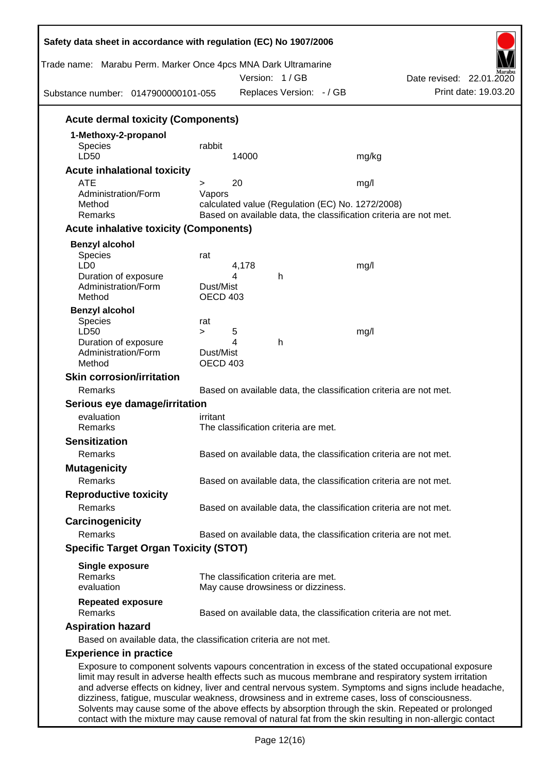| Trade name: Marabu Perm. Marker Once 4pcs MNA Dark Ultramarine<br>Substance number: 0147900000101-055                                                                                                                                                                                                                                                                                                                 |                                                                   |            | Version: 1/GB<br>Replaces Version: - / GB |                                                                   | Date revised: 22.01.2020 | Print date: 19.03.20 |
|-----------------------------------------------------------------------------------------------------------------------------------------------------------------------------------------------------------------------------------------------------------------------------------------------------------------------------------------------------------------------------------------------------------------------|-------------------------------------------------------------------|------------|-------------------------------------------|-------------------------------------------------------------------|--------------------------|----------------------|
| <b>Acute dermal toxicity (Components)</b>                                                                                                                                                                                                                                                                                                                                                                             |                                                                   |            |                                           |                                                                   |                          |                      |
| 1-Methoxy-2-propanol                                                                                                                                                                                                                                                                                                                                                                                                  |                                                                   |            |                                           |                                                                   |                          |                      |
| <b>Species</b><br>LD50                                                                                                                                                                                                                                                                                                                                                                                                | rabbit                                                            | 14000      |                                           | mg/kg                                                             |                          |                      |
| <b>Acute inhalational toxicity</b>                                                                                                                                                                                                                                                                                                                                                                                    |                                                                   |            |                                           |                                                                   |                          |                      |
| <b>ATE</b>                                                                                                                                                                                                                                                                                                                                                                                                            | >                                                                 | 20         |                                           | mg/l                                                              |                          |                      |
| Administration/Form                                                                                                                                                                                                                                                                                                                                                                                                   | Vapors                                                            |            |                                           |                                                                   |                          |                      |
| Method                                                                                                                                                                                                                                                                                                                                                                                                                |                                                                   |            |                                           | calculated value (Regulation (EC) No. 1272/2008)                  |                          |                      |
| Remarks                                                                                                                                                                                                                                                                                                                                                                                                               | Based on available data, the classification criteria are not met. |            |                                           |                                                                   |                          |                      |
| <b>Acute inhalative toxicity (Components)</b>                                                                                                                                                                                                                                                                                                                                                                         |                                                                   |            |                                           |                                                                   |                          |                      |
| <b>Benzyl alcohol</b>                                                                                                                                                                                                                                                                                                                                                                                                 |                                                                   |            |                                           |                                                                   |                          |                      |
| Species                                                                                                                                                                                                                                                                                                                                                                                                               | rat                                                               |            |                                           |                                                                   |                          |                      |
| LD <sub>0</sub><br>Duration of exposure                                                                                                                                                                                                                                                                                                                                                                               |                                                                   | 4,178<br>4 | h                                         | mg/l                                                              |                          |                      |
| Administration/Form                                                                                                                                                                                                                                                                                                                                                                                                   | Dust/Mist                                                         |            |                                           |                                                                   |                          |                      |
| Method                                                                                                                                                                                                                                                                                                                                                                                                                | <b>OECD 403</b>                                                   |            |                                           |                                                                   |                          |                      |
| <b>Benzyl alcohol</b>                                                                                                                                                                                                                                                                                                                                                                                                 |                                                                   |            |                                           |                                                                   |                          |                      |
| <b>Species</b>                                                                                                                                                                                                                                                                                                                                                                                                        | rat                                                               |            |                                           |                                                                   |                          |                      |
| LD50                                                                                                                                                                                                                                                                                                                                                                                                                  | $\geq$                                                            | 5<br>4     | h                                         | mg/l                                                              |                          |                      |
| Duration of exposure<br>Administration/Form                                                                                                                                                                                                                                                                                                                                                                           | Dust/Mist                                                         |            |                                           |                                                                   |                          |                      |
| Method                                                                                                                                                                                                                                                                                                                                                                                                                | <b>OECD 403</b>                                                   |            |                                           |                                                                   |                          |                      |
| <b>Skin corrosion/irritation</b>                                                                                                                                                                                                                                                                                                                                                                                      |                                                                   |            |                                           |                                                                   |                          |                      |
| Remarks                                                                                                                                                                                                                                                                                                                                                                                                               |                                                                   |            |                                           | Based on available data, the classification criteria are not met. |                          |                      |
| Serious eye damage/irritation                                                                                                                                                                                                                                                                                                                                                                                         |                                                                   |            |                                           |                                                                   |                          |                      |
| evaluation                                                                                                                                                                                                                                                                                                                                                                                                            | irritant                                                          |            |                                           |                                                                   |                          |                      |
| Remarks                                                                                                                                                                                                                                                                                                                                                                                                               |                                                                   |            | The classification criteria are met.      |                                                                   |                          |                      |
| <b>Sensitization</b>                                                                                                                                                                                                                                                                                                                                                                                                  |                                                                   |            |                                           |                                                                   |                          |                      |
| Remarks                                                                                                                                                                                                                                                                                                                                                                                                               |                                                                   |            |                                           | Based on available data, the classification criteria are not met. |                          |                      |
| <b>Mutagenicity</b>                                                                                                                                                                                                                                                                                                                                                                                                   |                                                                   |            |                                           |                                                                   |                          |                      |
| Remarks                                                                                                                                                                                                                                                                                                                                                                                                               |                                                                   |            |                                           | Based on available data, the classification criteria are not met. |                          |                      |
| <b>Reproductive toxicity</b>                                                                                                                                                                                                                                                                                                                                                                                          |                                                                   |            |                                           |                                                                   |                          |                      |
| Remarks                                                                                                                                                                                                                                                                                                                                                                                                               |                                                                   |            |                                           | Based on available data, the classification criteria are not met. |                          |                      |
| Carcinogenicity                                                                                                                                                                                                                                                                                                                                                                                                       |                                                                   |            |                                           |                                                                   |                          |                      |
| Remarks                                                                                                                                                                                                                                                                                                                                                                                                               |                                                                   |            |                                           | Based on available data, the classification criteria are not met. |                          |                      |
| <b>Specific Target Organ Toxicity (STOT)</b>                                                                                                                                                                                                                                                                                                                                                                          |                                                                   |            |                                           |                                                                   |                          |                      |
| <b>Single exposure</b>                                                                                                                                                                                                                                                                                                                                                                                                |                                                                   |            |                                           |                                                                   |                          |                      |
| <b>Remarks</b>                                                                                                                                                                                                                                                                                                                                                                                                        | The classification criteria are met.                              |            |                                           |                                                                   |                          |                      |
| evaluation                                                                                                                                                                                                                                                                                                                                                                                                            |                                                                   |            | May cause drowsiness or dizziness.        |                                                                   |                          |                      |
| <b>Repeated exposure</b>                                                                                                                                                                                                                                                                                                                                                                                              |                                                                   |            |                                           |                                                                   |                          |                      |
| Remarks                                                                                                                                                                                                                                                                                                                                                                                                               |                                                                   |            |                                           | Based on available data, the classification criteria are not met. |                          |                      |
| <b>Aspiration hazard</b>                                                                                                                                                                                                                                                                                                                                                                                              |                                                                   |            |                                           |                                                                   |                          |                      |
| Based on available data, the classification criteria are not met.                                                                                                                                                                                                                                                                                                                                                     |                                                                   |            |                                           |                                                                   |                          |                      |
| <b>Experience in practice</b>                                                                                                                                                                                                                                                                                                                                                                                         |                                                                   |            |                                           |                                                                   |                          |                      |
| Exposure to component solvents vapours concentration in excess of the stated occupational exposure<br>limit may result in adverse health effects such as mucous membrane and respiratory system irritation<br>and adverse effects on kidney, liver and central nervous system. Symptoms and signs include headache,<br>dizziness, fatigue, muscular weakness, drowsiness and in extreme cases, loss of consciousness. |                                                                   |            |                                           |                                                                   |                          |                      |

Solvents may cause some of the above effects by absorption through the skin. Repeated or prolonged contact with the mixture may cause removal of natural fat from the skin resulting in non-allergic contact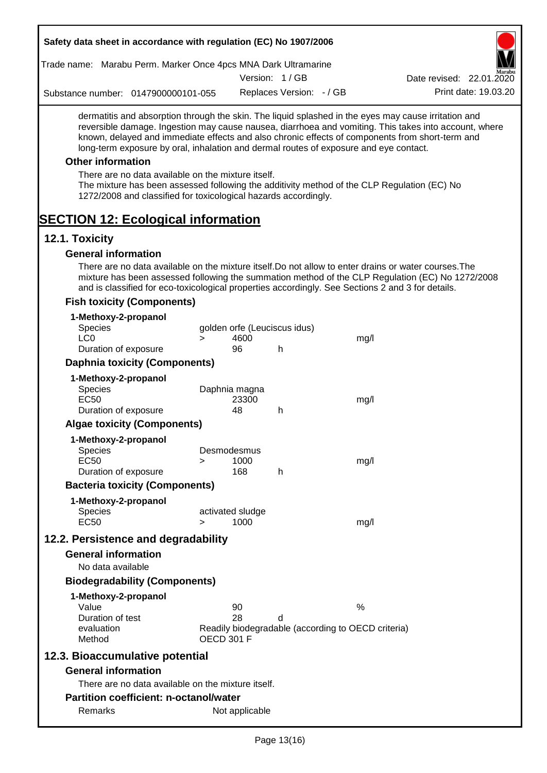| Trade name: Marabu Perm. Marker Once 4pcs MNA Dark Ultramarine         |                                                                                                                       |                              |                          |                                                    |                                                                                                                                                                                                                                                                                                                  |
|------------------------------------------------------------------------|-----------------------------------------------------------------------------------------------------------------------|------------------------------|--------------------------|----------------------------------------------------|------------------------------------------------------------------------------------------------------------------------------------------------------------------------------------------------------------------------------------------------------------------------------------------------------------------|
|                                                                        |                                                                                                                       |                              | Version: 1/GB            |                                                    | Date revised: 22.01.2020                                                                                                                                                                                                                                                                                         |
| Substance number: 0147900000101-055                                    |                                                                                                                       |                              | Replaces Version: - / GB |                                                    | Print date: 19.03.20                                                                                                                                                                                                                                                                                             |
|                                                                        | long-term exposure by oral, inhalation and dermal routes of exposure and eye contact.                                 |                              |                          |                                                    | dermatitis and absorption through the skin. The liquid splashed in the eyes may cause irritation and<br>reversible damage. Ingestion may cause nausea, diarrhoea and vomiting. This takes into account, where<br>known, delayed and immediate effects and also chronic effects of components from short-term and |
| <b>Other information</b>                                               |                                                                                                                       |                              |                          |                                                    |                                                                                                                                                                                                                                                                                                                  |
|                                                                        | There are no data available on the mixture itself.<br>1272/2008 and classified for toxicological hazards accordingly. |                              |                          |                                                    | The mixture has been assessed following the additivity method of the CLP Regulation (EC) No                                                                                                                                                                                                                      |
| <b>SECTION 12: Ecological information</b>                              |                                                                                                                       |                              |                          |                                                    |                                                                                                                                                                                                                                                                                                                  |
| 12.1. Toxicity                                                         |                                                                                                                       |                              |                          |                                                    |                                                                                                                                                                                                                                                                                                                  |
| <b>General information</b>                                             |                                                                                                                       |                              |                          |                                                    |                                                                                                                                                                                                                                                                                                                  |
|                                                                        | and is classified for eco-toxicological properties accordingly. See Sections 2 and 3 for details.                     |                              |                          |                                                    | There are no data available on the mixture itself. Do not allow to enter drains or water courses. The<br>mixture has been assessed following the summation method of the CLP Regulation (EC) No 1272/2008                                                                                                        |
| <b>Fish toxicity (Components)</b>                                      |                                                                                                                       |                              |                          |                                                    |                                                                                                                                                                                                                                                                                                                  |
| 1-Methoxy-2-propanol<br><b>Species</b>                                 |                                                                                                                       | golden orfe (Leuciscus idus) |                          |                                                    |                                                                                                                                                                                                                                                                                                                  |
| LC <sub>0</sub>                                                        | $\geq$                                                                                                                | 4600                         |                          | mg/l                                               |                                                                                                                                                                                                                                                                                                                  |
| Duration of exposure                                                   |                                                                                                                       | 96                           | h                        |                                                    |                                                                                                                                                                                                                                                                                                                  |
|                                                                        | <b>Daphnia toxicity (Components)</b>                                                                                  |                              |                          |                                                    |                                                                                                                                                                                                                                                                                                                  |
| 1-Methoxy-2-propanol<br><b>Species</b><br><b>EC50</b>                  |                                                                                                                       | Daphnia magna<br>23300       |                          | mg/l                                               |                                                                                                                                                                                                                                                                                                                  |
| Duration of exposure                                                   |                                                                                                                       | 48                           | h                        |                                                    |                                                                                                                                                                                                                                                                                                                  |
| <b>Algae toxicity (Components)</b>                                     |                                                                                                                       |                              |                          |                                                    |                                                                                                                                                                                                                                                                                                                  |
| 1-Methoxy-2-propanol<br><b>Species</b><br>EC50<br>Duration of exposure | >                                                                                                                     | Desmodesmus<br>1000<br>168   | h                        | mg/l                                               |                                                                                                                                                                                                                                                                                                                  |
|                                                                        | <b>Bacteria toxicity (Components)</b>                                                                                 |                              |                          |                                                    |                                                                                                                                                                                                                                                                                                                  |
| 1-Methoxy-2-propanol                                                   |                                                                                                                       |                              |                          |                                                    |                                                                                                                                                                                                                                                                                                                  |
| <b>Species</b><br><b>EC50</b>                                          | $\geq$                                                                                                                | activated sludge<br>1000     |                          | mg/l                                               |                                                                                                                                                                                                                                                                                                                  |
| 12.2. Persistence and degradability                                    |                                                                                                                       |                              |                          |                                                    |                                                                                                                                                                                                                                                                                                                  |
| <b>General information</b><br>No data available                        |                                                                                                                       |                              |                          |                                                    |                                                                                                                                                                                                                                                                                                                  |
|                                                                        | <b>Biodegradability (Components)</b>                                                                                  |                              |                          |                                                    |                                                                                                                                                                                                                                                                                                                  |
| 1-Methoxy-2-propanol                                                   |                                                                                                                       |                              |                          |                                                    |                                                                                                                                                                                                                                                                                                                  |
| Value                                                                  |                                                                                                                       | 90                           |                          | %                                                  |                                                                                                                                                                                                                                                                                                                  |
| Duration of test<br>evaluation<br>Method                               |                                                                                                                       | 28<br><b>OECD 301 F</b>      | d                        | Readily biodegradable (according to OECD criteria) |                                                                                                                                                                                                                                                                                                                  |
| 12.3. Bioaccumulative potential                                        |                                                                                                                       |                              |                          |                                                    |                                                                                                                                                                                                                                                                                                                  |
| <b>General information</b>                                             |                                                                                                                       |                              |                          |                                                    |                                                                                                                                                                                                                                                                                                                  |
|                                                                        | There are no data available on the mixture itself.                                                                    |                              |                          |                                                    |                                                                                                                                                                                                                                                                                                                  |
| <b>Partition coefficient: n-octanol/water</b>                          |                                                                                                                       |                              |                          |                                                    |                                                                                                                                                                                                                                                                                                                  |
|                                                                        |                                                                                                                       |                              |                          |                                                    |                                                                                                                                                                                                                                                                                                                  |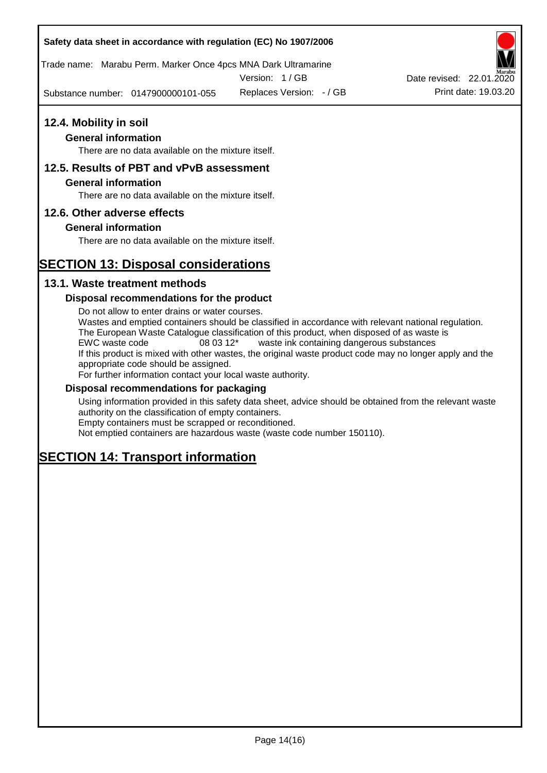Trade name: Marabu Perm. Marker Once 4pcs MNA Dark Ultramarine

Version: 1 / GB

Substance number: 0147900000101-055



#### **General information**

There are no data available on the mixture itself.

### **12.5. Results of PBT and vPvB assessment**

#### **General information**

There are no data available on the mixture itself.

#### **12.6. Other adverse effects**

#### **General information**

There are no data available on the mixture itself.

# **SECTION 13: Disposal considerations**

### **13.1. Waste treatment methods**

#### **Disposal recommendations for the product**

Do not allow to enter drains or water courses. Wastes and emptied containers should be classified in accordance with relevant national regulation. The European Waste Catalogue classification of this product, when disposed of as waste is EWC waste code 08 03 12\* waste ink containing dangerous substances If this product is mixed with other wastes, the original waste product code may no longer apply and the appropriate code should be assigned. For further information contact your local waste authority.

#### **Disposal recommendations for packaging**

Using information provided in this safety data sheet, advice should be obtained from the relevant waste authority on the classification of empty containers. Empty containers must be scrapped or reconditioned.

Not emptied containers are hazardous waste (waste code number 150110).

# **SECTION 14: Transport information**

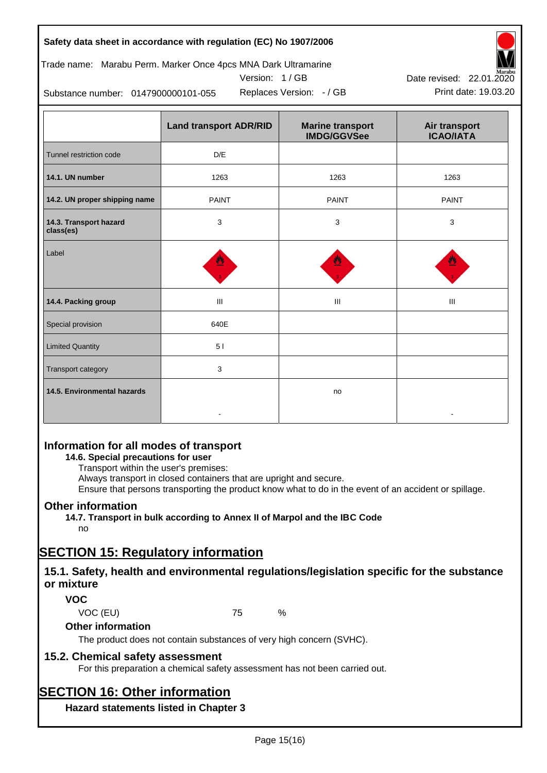Trade name: Marabu Perm. Marker Once 4pcs MNA Dark Ultramarine



Version: 1 / GB Replaces Version:  $-$  / GB Print date: 19.03.20

Substance number: 0147900000101-055

|                                     | <b>Land transport ADR/RID</b>    | <b>Marine transport</b><br><b>IMDG/GGVSee</b> | Air transport<br><b>ICAO/IATA</b> |  |
|-------------------------------------|----------------------------------|-----------------------------------------------|-----------------------------------|--|
| Tunnel restriction code             | D/E                              |                                               |                                   |  |
| 14.1. UN number                     | 1263                             | 1263                                          | 1263                              |  |
| 14.2. UN proper shipping name       | <b>PAINT</b>                     | <b>PAINT</b>                                  | <b>PAINT</b>                      |  |
| 14.3. Transport hazard<br>class(es) | 3                                | 3                                             | 3                                 |  |
| Label                               |                                  |                                               |                                   |  |
| 14.4. Packing group                 | $\mathop{\mathrm{III}}\nolimits$ | Ш                                             | Ш                                 |  |
| Special provision                   | 640E                             |                                               |                                   |  |
| <b>Limited Quantity</b>             | 51                               |                                               |                                   |  |
| Transport category                  | 3                                |                                               |                                   |  |
| 14.5. Environmental hazards         |                                  | no                                            |                                   |  |

# **Information for all modes of transport**

**14.6. Special precautions for user**

Transport within the user's premises:

Always transport in closed containers that are upright and secure.

Ensure that persons transporting the product know what to do in the event of an accident or spillage.

# **Other information**

**14.7. Transport in bulk according to Annex II of Marpol and the IBC Code** no

# **SECTION 15: Regulatory information**

# **15.1. Safety, health and environmental regulations/legislation specific for the substance or mixture**

# **VOC**

VOC (EU) 75 %

**Other information**

The product does not contain substances of very high concern (SVHC).

# **15.2. Chemical safety assessment**

For this preparation a chemical safety assessment has not been carried out.

# **SECTION 16: Other information**

**Hazard statements listed in Chapter 3**